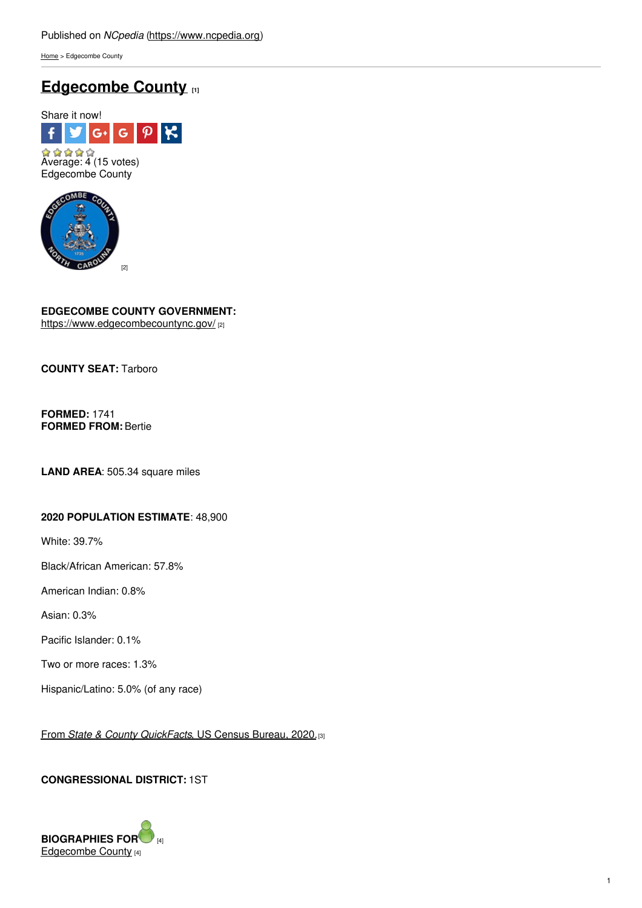[Home](https://www.ncpedia.org/) > Edgecombe County

# **[Edgecombe](https://www.ncpedia.org/geography/edgecombe) County [1]**





## **EDGECOMBE COUNTY GOVERNMENT:**

<https://www.edgecombecountync.gov/> [2]

**COUNTY SEAT:** Tarboro

**FORMED:** 1741 **FORMED FROM:** Bertie

**LAND AREA**: 505.34 square miles

## **2020 POPULATION ESTIMATE**: 48,900

White: 39.7%

Black/African American: 57.8%

American Indian: 0.8%

Asian: 0.3%

Pacific Islander: 0.1%

Two or more races: 1.3%

Hispanic/Latino: 5.0% (of any race)

From *State & County [QuickFacts](https://www.census.gov/quickfacts/fact/table/edgecombecountynorthcarolina/POP010220)*, US Census Bureau, 2020.[3]

## **CONGRESSIONAL DISTRICT:** 1ST

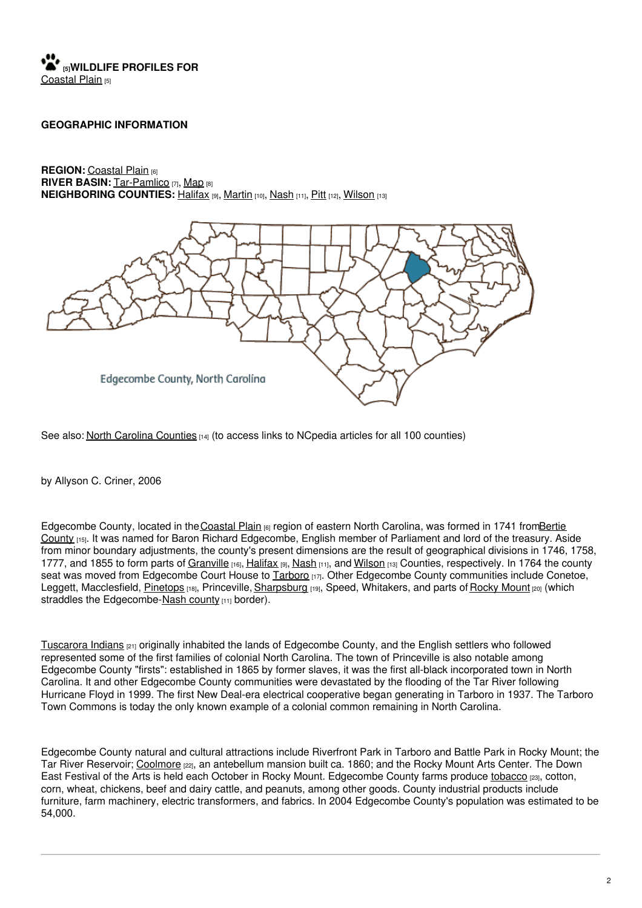## **[5]WILDLIFE PROFILES FOR** [Coastal](https://www.ncpedia.org/wildlife/coastal-plain) Plain [5]

### **GEOGRAPHIC INFORMATION**

**REGION:** [Coastal](https://www.ncpedia.org/geography/region/coastal-plain) Plain [6] **RIVER BASIN:** [Tar-Pamlico](https://files.nc.gov/deqee/documents/files/tar-pamlico.pdf) [7], [Map](https://ncdenr.maps.arcgis.com/apps/PublicInformation/index.html?appid=f82f583438e74bf29adcc76247381eee) [8] **NEIGHBORING COUNTIES:** [Halifax](https://www.ncpedia.org/geography/halifax) [9], [Martin](https://www.ncpedia.org/geography/martin) [10], [Nash](https://www.ncpedia.org/geography/nash) [11], [Pitt](https://www.ncpedia.org/geography/pitt) [12], [Wilson](https://www.ncpedia.org/geography/wilson) [13]



See also: North Carolina [Counties](https://www.ncpedia.org/geography/counties)  $_{[14]}$  (to access links to NCpedia articles for all 100 counties)

by Allyson C. Criner, 2006

Edgecombe County, located in the [Coastal](https://www.ncpedia.org/geography/region/coastal-plain) Plain [6] region of eastern North Carolina, was formed in 1741 fromBertie County [15]. It was named for Baron Richard [Edgecombe,](https://www.ncpedia.org/geography/bertie) English member of Parliament and lord of the treasury. Aside from minor boundary adjustments, the county's present dimensions are the result of geographical divisions in 1746, 1758, 1777, and 1855 to form parts of [Granville](https://www.ncpedia.org/geography/granville) [16], [Halifax](https://www.ncpedia.org/geography/halifax) [9], [Nash](https://www.ncpedia.org/geography/nash) [11], and [Wilson](https://www.ncpedia.org/geography/wilson) [13] Counties, respectively. In 1764 the county seat was moved from Edgecombe Court House to [Tarboro](https://www.tarboro-nc.com/) [17]. Other Edgecombe County communities include Conetoe, Leggett, Macclesfield, [Pinetops](https://townofpinetopsnc.com/) [18], Princeville, [Sharpsburg](https://www.sharpsburgnc.com/) [19], Speed, Whitakers, and parts of [Rocky](https://rockymountnc.gov/) Mount [20] (which straddles the Edgecombe-Nash [county](https://www.ncpedia.org/geography/nash) [11] border).

[Tuscarora](https://www.ncpedia.org/american-indians/tuscarora) Indians [21] originally inhabited the lands of Edgecombe County, and the English settlers who followed represented some of the first families of colonial North Carolina. The town of Princeville is also notable among Edgecombe County "firsts": established in 1865 by former slaves, it was the first all-black incorporated town in North Carolina. It and other Edgecombe County communities were devastated by the flooding of the Tar River following Hurricane Floyd in 1999. The first New Deal-era electrical cooperative began generating in Tarboro in 1937. The Tarboro Town Commons is today the only known example of a colonial common remaining in North Carolina.

Edgecombe County natural and cultural attractions include Riverfront Park in Tarboro and Battle Park in Rocky Mount; the Tar River Reservoir; [Coolmore](https://www.ncpedia.org/coolmore) [22], an antebellum mansion built ca. 1860; and the Rocky Mount Arts Center. The Down East Festival of the Arts is held each October in Rocky Mount. Edgecombe County farms produce [tobacco](https://www.ncpedia.org/tobacco) [23], cotton, corn, wheat, chickens, beef and dairy cattle, and peanuts, among other goods. County industrial products include furniture, farm machinery, electric transformers, and fabrics. In 2004 Edgecombe County's population was estimated to be 54,000.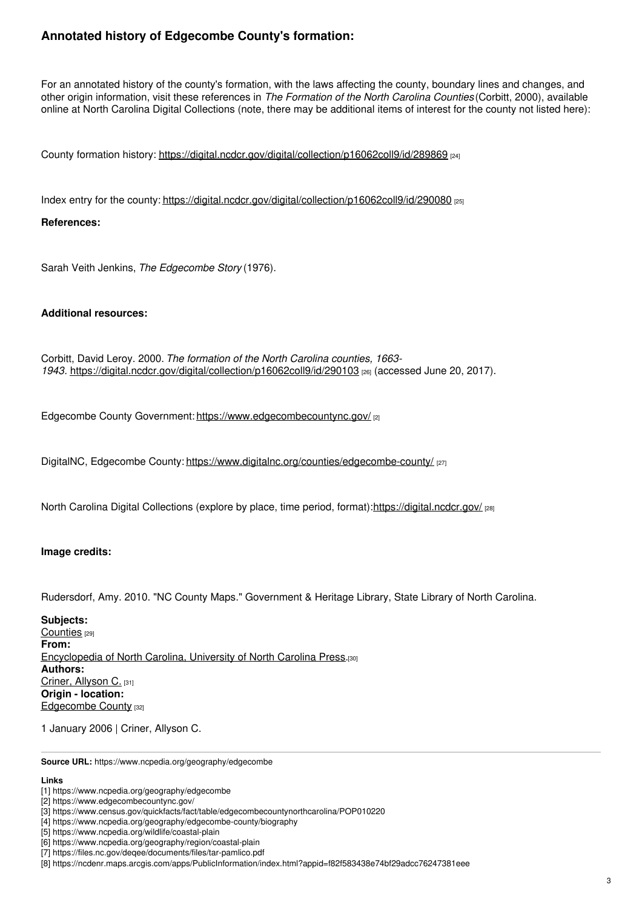## **Annotated history of Edgecombe County's formation:**

For an annotated history of the county's formation, with the laws affecting the county, boundary lines and changes, and other origin information, visit these references in *The Formation of the North Carolina Counties* (Corbitt, 2000), available online at North Carolina Digital Collections (note, there may be additional items of interest for the county not listed here):

County formation history: <https://digital.ncdcr.gov/digital/collection/p16062coll9/id/289869> [24]

Index entry for the county: <https://digital.ncdcr.gov/digital/collection/p16062coll9/id/290080> [25]

### **References:**

Sarah Veith Jenkins, *The Edgecombe Story* (1976).

### **Additional resources:**

Corbitt, David Leroy. 2000. *The formation of the North Carolina counties, 1663- 1943*. <https://digital.ncdcr.gov/digital/collection/p16062coll9/id/290103> [26] (accessed June 20, 2017).

Edgecombe County Government: <https://www.edgecombecountync.gov/> [2]

DigitalNC, Edgecombe County: <https://www.digitalnc.org/counties/edgecombe-county/> [27]

North Carolina Digital Collections (explore by place, time period, format):<https://digital.ncdcr.gov/> [28]

### **Image credits:**

Rudersdorf, Amy. 2010. "NC County Maps." Government & Heritage Library, State Library of North Carolina.

**Subjects:** [Counties](https://www.ncpedia.org/category/subjects/counties) [29] **From:** [Encyclopedia](https://www.ncpedia.org/category/entry-source/encyclopedia-) of North Carolina, University of North Carolina Press.[30] **Authors:** Criner, [Allyson](https://www.ncpedia.org/category/authors/criner-allyson-c) C. [31] **Origin - location:** [Edgecombe](https://www.ncpedia.org/category/origin-location/coastal-20) County [32]

1 January 2006 | Criner, Allyson C.

**Source URL:** https://www.ncpedia.org/geography/edgecombe

### **Links**

<sup>[1]</sup> https://www.ncpedia.org/geography/edgecombe

<sup>[2]</sup> https://www.edgecombecountync.gov/

<sup>[3]</sup> https://www.census.gov/quickfacts/fact/table/edgecombecountynorthcarolina/POP010220

<sup>[4]</sup> https://www.ncpedia.org/geography/edgecombe-county/biography

<sup>[5]</sup> https://www.ncpedia.org/wildlife/coastal-plain

<sup>[6]</sup> https://www.ncpedia.org/geography/region/coastal-plain

<sup>[7]</sup> https://files.nc.gov/deqee/documents/files/tar-pamlico.pdf

<sup>[8]</sup> https://ncdenr.maps.arcgis.com/apps/PublicInformation/index.html?appid=f82f583438e74bf29adcc76247381eee